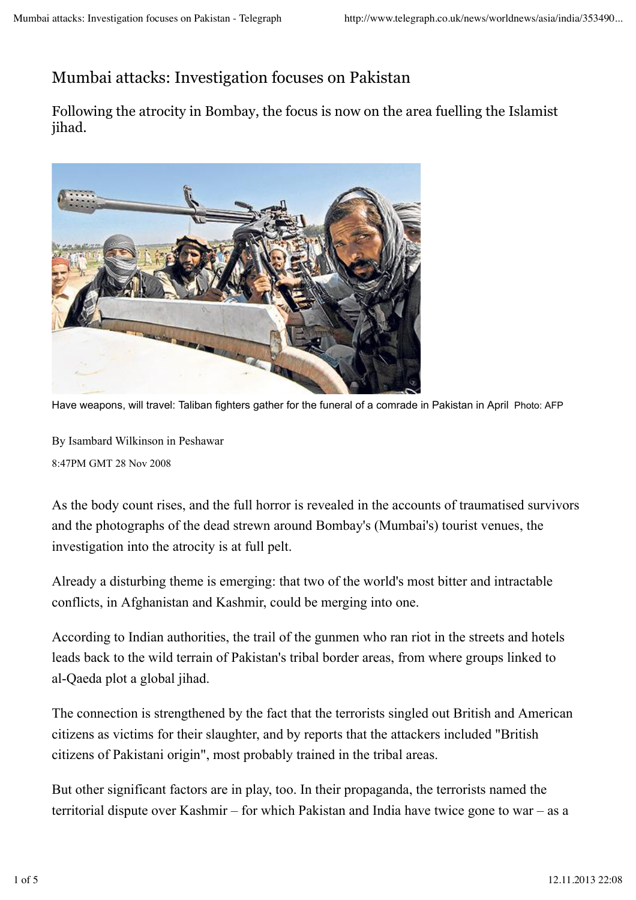## Mumbai attacks: Investigation focuses on Pakistan

Following the atrocity in Bombay, the focus is now on the area fuelling the Islamist jihad.



Have weapons, will travel: Taliban fighters gather for the funeral of a comrade in Pakistan in April Photo: AFP

By Isambard Wilkinson in Peshawar 8:47PM GMT 28 Nov 2008

As the body count rises, and the full horror is revealed in the accounts of traumatised survivors and the photographs of the dead strewn around Bombay's (Mumbai's) tourist venues, the investigation into the atrocity is at full pelt.

Already a disturbing theme is emerging: that two of the world's most bitter and intractable conflicts, in Afghanistan and Kashmir, could be merging into one.

According to Indian authorities, the trail of the gunmen who ran riot in the streets and hotels leads back to the wild terrain of Pakistan's tribal border areas, from where groups linked to al-Qaeda plot a global jihad.

The connection is strengthened by the fact that the terrorists singled out British and American citizens as victims for their slaughter, and by reports that the attackers included "British citizens of Pakistani origin", most probably trained in the tribal areas.

But other significant factors are in play, too. In their propaganda, the terrorists named the territorial dispute over Kashmir – for which Pakistan and India have twice gone to war – as a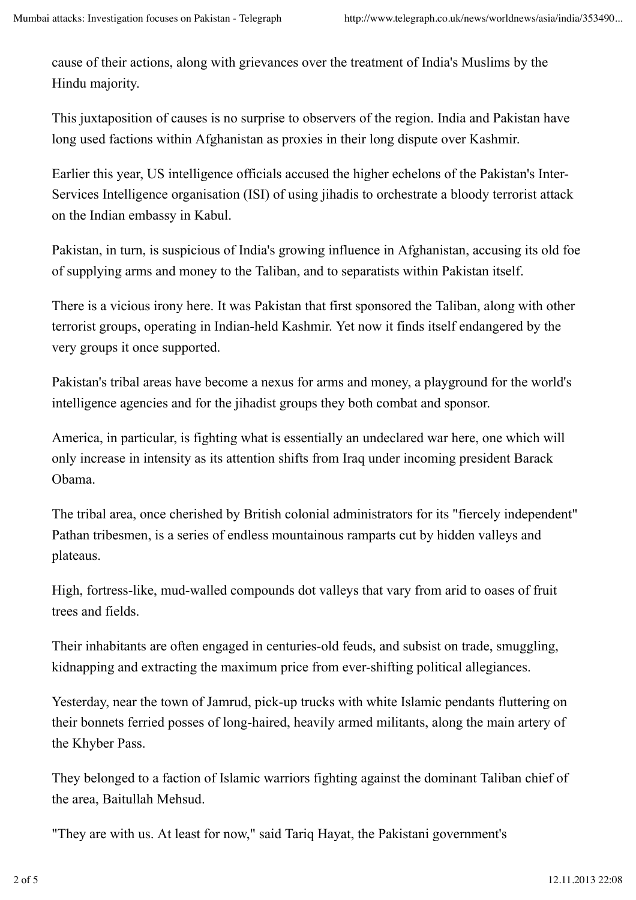cause of their actions, along with grievances over the treatment of India's Muslims by the Hindu majority.

This juxtaposition of causes is no surprise to observers of the region. India and Pakistan have long used factions within Afghanistan as proxies in their long dispute over Kashmir.

Earlier this year, US intelligence officials accused the higher echelons of the Pakistan's Inter-Services Intelligence organisation (ISI) of using jihadis to orchestrate a bloody terrorist attack on the Indian embassy in Kabul.

Pakistan, in turn, is suspicious of India's growing influence in Afghanistan, accusing its old foe of supplying arms and money to the Taliban, and to separatists within Pakistan itself.

There is a vicious irony here. It was Pakistan that first sponsored the Taliban, along with other terrorist groups, operating in Indian-held Kashmir. Yet now it finds itself endangered by the very groups it once supported.

Pakistan's tribal areas have become a nexus for arms and money, a playground for the world's intelligence agencies and for the jihadist groups they both combat and sponsor.

America, in particular, is fighting what is essentially an undeclared war here, one which will only increase in intensity as its attention shifts from Iraq under incoming president Barack Obama.

The tribal area, once cherished by British colonial administrators for its "fiercely independent" Pathan tribesmen, is a series of endless mountainous ramparts cut by hidden valleys and plateaus.

High, fortress-like, mud-walled compounds dot valleys that vary from arid to oases of fruit trees and fields.

Their inhabitants are often engaged in centuries-old feuds, and subsist on trade, smuggling, kidnapping and extracting the maximum price from ever-shifting political allegiances.

Yesterday, near the town of Jamrud, pick-up trucks with white Islamic pendants fluttering on their bonnets ferried posses of long-haired, heavily armed militants, along the main artery of the Khyber Pass.

They belonged to a faction of Islamic warriors fighting against the dominant Taliban chief of the area, Baitullah Mehsud.

"They are with us. At least for now," said Tariq Hayat, the Pakistani government's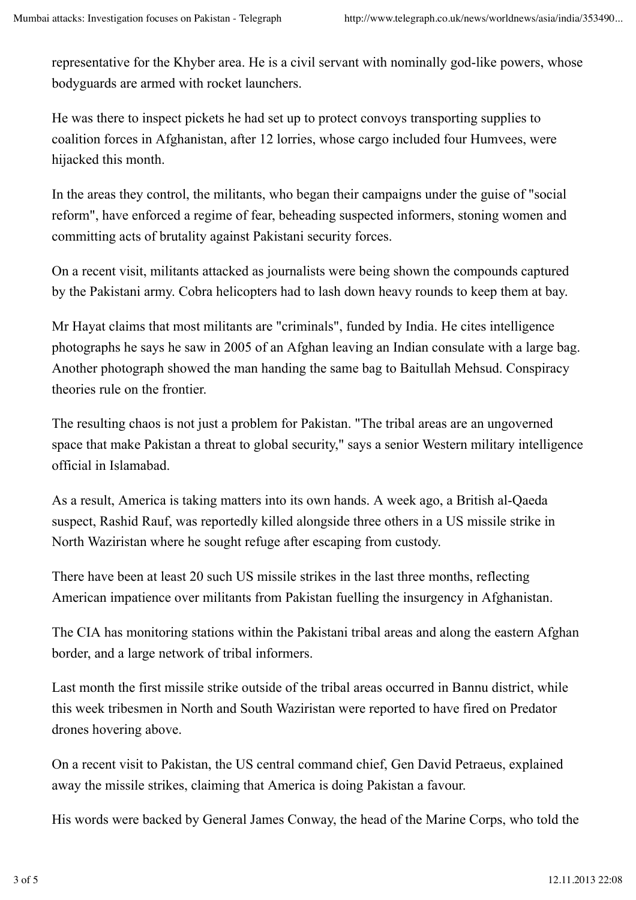representative for the Khyber area. He is a civil servant with nominally god-like powers, whose bodyguards are armed with rocket launchers.

He was there to inspect pickets he had set up to protect convoys transporting supplies to coalition forces in Afghanistan, after 12 lorries, whose cargo included four Humvees, were hijacked this month.

In the areas they control, the militants, who began their campaigns under the guise of "social reform", have enforced a regime of fear, beheading suspected informers, stoning women and committing acts of brutality against Pakistani security forces.

On a recent visit, militants attacked as journalists were being shown the compounds captured by the Pakistani army. Cobra helicopters had to lash down heavy rounds to keep them at bay.

Mr Hayat claims that most militants are "criminals", funded by India. He cites intelligence photographs he says he saw in 2005 of an Afghan leaving an Indian consulate with a large bag. Another photograph showed the man handing the same bag to Baitullah Mehsud. Conspiracy theories rule on the frontier.

The resulting chaos is not just a problem for Pakistan. "The tribal areas are an ungoverned space that make Pakistan a threat to global security," says a senior Western military intelligence official in Islamabad.

As a result, America is taking matters into its own hands. A week ago, a British al-Qaeda suspect, Rashid Rauf, was reportedly killed alongside three others in a US missile strike in North Waziristan where he sought refuge after escaping from custody.

There have been at least 20 such US missile strikes in the last three months, reflecting American impatience over militants from Pakistan fuelling the insurgency in Afghanistan.

The CIA has monitoring stations within the Pakistani tribal areas and along the eastern Afghan border, and a large network of tribal informers.

Last month the first missile strike outside of the tribal areas occurred in Bannu district, while this week tribesmen in North and South Waziristan were reported to have fired on Predator drones hovering above.

On a recent visit to Pakistan, the US central command chief, Gen David Petraeus, explained away the missile strikes, claiming that America is doing Pakistan a favour.

His words were backed by General James Conway, the head of the Marine Corps, who told the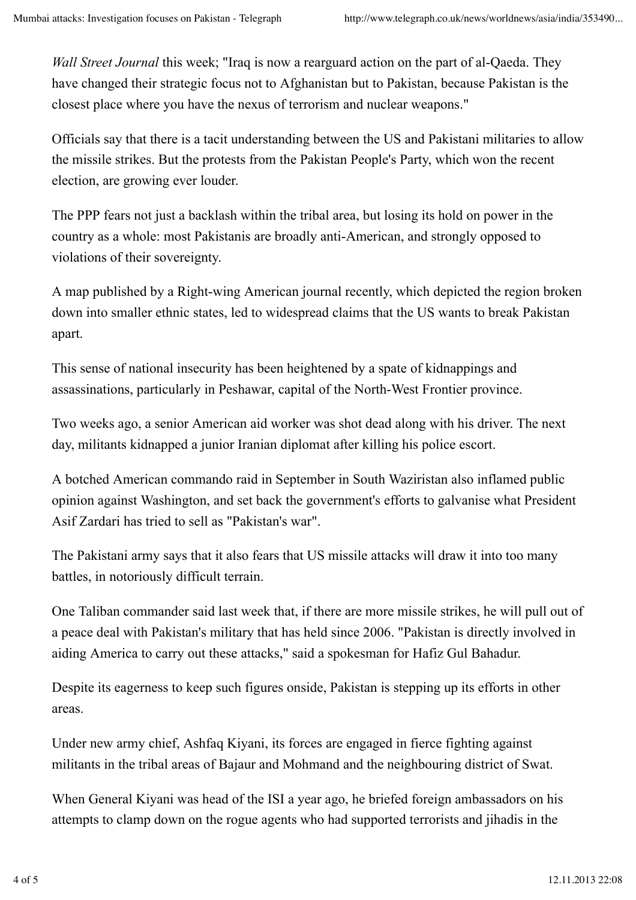*Wall Street Journal* this week; "Iraq is now a rearguard action on the part of al-Qaeda. They have changed their strategic focus not to Afghanistan but to Pakistan, because Pakistan is the closest place where you have the nexus of terrorism and nuclear weapons."

Officials say that there is a tacit understanding between the US and Pakistani militaries to allow the missile strikes. But the protests from the Pakistan People's Party, which won the recent election, are growing ever louder.

The PPP fears not just a backlash within the tribal area, but losing its hold on power in the country as a whole: most Pakistanis are broadly anti-American, and strongly opposed to violations of their sovereignty.

A map published by a Right-wing American journal recently, which depicted the region broken down into smaller ethnic states, led to widespread claims that the US wants to break Pakistan apart.

This sense of national insecurity has been heightened by a spate of kidnappings and assassinations, particularly in Peshawar, capital of the North-West Frontier province.

Two weeks ago, a senior American aid worker was shot dead along with his driver. The next day, militants kidnapped a junior Iranian diplomat after killing his police escort.

A botched American commando raid in September in South Waziristan also inflamed public opinion against Washington, and set back the government's efforts to galvanise what President Asif Zardari has tried to sell as "Pakistan's war".

The Pakistani army says that it also fears that US missile attacks will draw it into too many battles, in notoriously difficult terrain.

One Taliban commander said last week that, if there are more missile strikes, he will pull out of a peace deal with Pakistan's military that has held since 2006. "Pakistan is directly involved in aiding America to carry out these attacks," said a spokesman for Hafiz Gul Bahadur.

Despite its eagerness to keep such figures onside, Pakistan is stepping up its efforts in other areas.

Under new army chief, Ashfaq Kiyani, its forces are engaged in fierce fighting against militants in the tribal areas of Bajaur and Mohmand and the neighbouring district of Swat.

When General Kiyani was head of the ISI a year ago, he briefed foreign ambassadors on his attempts to clamp down on the rogue agents who had supported terrorists and jihadis in the